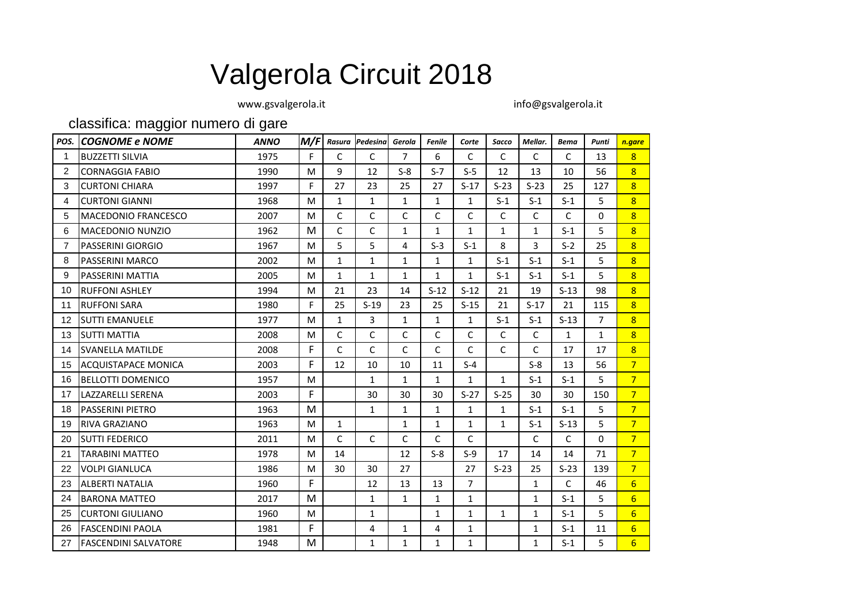## Valgerola Circuit 2018

[www.gsvalgerola.it info@gsvalgerola.it](http://www.gsvalgerola.it/)

classifica: maggior numero di gare

| POS. | <b>COGNOME e NOME</b>       | <b>ANNO</b> | M/F | Rasura       | Pedesina     | Gerola         | Fenile       | Corte          | Sacco        | Mellar.      | <b>Bema</b>  | Punti          | n.gare          |
|------|-----------------------------|-------------|-----|--------------|--------------|----------------|--------------|----------------|--------------|--------------|--------------|----------------|-----------------|
| 1    | <b>BUZZETTI SILVIA</b>      | 1975        | F   | C            | C            | $\overline{7}$ | 6            | C              | C            | C            | $\mathsf{C}$ | 13             | 8 <sup>1</sup>  |
| 2    | <b>CORNAGGIA FABIO</b>      | 1990        | M   | 9            | 12           | $S-8$          | $S-7$        | $S-5$          | 12           | 13           | 10           | 56             | 8 <sup>1</sup>  |
| 3    | <b>CURTONI CHIARA</b>       | 1997        | F   | 27           | 23           | 25             | 27           | $S-17$         | $S-23$       | $S-23$       | 25           | 127            | $\overline{8}$  |
| 4    | <b>CURTONI GIANNI</b>       | 1968        | M   | $\mathbf{1}$ | $\mathbf{1}$ | $\mathbf{1}$   | $\mathbf{1}$ | $\mathbf{1}$   | $S-1$        | $S-1$        | $S-1$        | 5              | $\overline{8}$  |
| 5    | MACEDONIO FRANCESCO         | 2007        | M   | $\mathsf{C}$ | C            | $\mathsf{C}$   | C            | C              | $\mathsf{C}$ | $\mathsf{C}$ | $\mathsf{C}$ | $\mathbf{0}$   | 8 <sup>1</sup>  |
| 6    | <b>MACEDONIO NUNZIO</b>     | 1962        | M   | $\mathsf C$  | С            | $\mathbf{1}$   | $\mathbf{1}$ | $\mathbf{1}$   | $\mathbf{1}$ | 1            | $S-1$        | 5              | 8 <sup>2</sup>  |
| 7    | <b>PASSERINI GIORGIO</b>    | 1967        | M   | 5            | 5            | 4              | $S-3$        | $S-1$          | 8            | 3            | $S-2$        | 25             | 8 <sup>2</sup>  |
| 8    | <b>PASSERINI MARCO</b>      | 2002        | M   | $\mathbf{1}$ | $\mathbf{1}$ | $\mathbf{1}$   | $\mathbf{1}$ | $\mathbf{1}$   | $S-1$        | $S-1$        | $S-1$        | 5              | 8 <sup>1</sup>  |
| 9    | <b>PASSERINI MATTIA</b>     | 2005        | M   | $\mathbf{1}$ | $\mathbf{1}$ | 1              | $\mathbf{1}$ | 1              | $S-1$        | $S-1$        | $S-1$        | 5              | $\overline{8}$  |
| 10   | <b>RUFFONI ASHLEY</b>       | 1994        | M   | 21           | 23           | 14             | $S-12$       | $S-12$         | 21           | 19           | $S-13$       | 98             | 8 <sup>1</sup>  |
| 11   | <b>RUFFONI SARA</b>         | 1980        | F   | 25           | $S-19$       | 23             | 25           | $S-15$         | 21           | $S-17$       | 21           | 115            | 8 <sup>1</sup>  |
| 12   | <b>SUTTI EMANUELE</b>       | 1977        | M   | $\mathbf{1}$ | 3            | 1              | 1            | $\mathbf{1}$   | $S-1$        | $S-1$        | $S-13$       | $\overline{7}$ | 8 <sup>1</sup>  |
| 13   | <b>SUTTI MATTIA</b>         | 2008        | M   | $\mathsf{C}$ | $\mathsf{C}$ | $\mathsf{C}$   | C            | C              | $\mathsf{C}$ | $\mathsf{C}$ | $\mathbf{1}$ | $\mathbf{1}$   | $\overline{8}$  |
| 14   | <b>SVANELLA MATILDE</b>     | 2008        | F   | $\mathsf{C}$ | C            | $\mathsf{C}$   | C            | C              | $\mathsf{C}$ | C            | 17           | 17             | 8 <sup>1</sup>  |
| 15   | <b>ACQUISTAPACE MONICA</b>  | 2003        | F   | 12           | 10           | 10             | 11           | $S-4$          |              | $S-8$        | 13           | 56             | $\overline{7}$  |
| 16   | <b>BELLOTTI DOMENICO</b>    | 1957        | M   |              | $\mathbf{1}$ | $\mathbf{1}$   | $\mathbf{1}$ | $\mathbf{1}$   | $\mathbf{1}$ | $S-1$        | $S-1$        | 5.             | 7 <sup>1</sup>  |
| 17   | LAZZARELLI SERENA           | 2003        | F   |              | 30           | 30             | 30           | $S-27$         | $S-25$       | 30           | 30           | 150            | 7 <sup>7</sup>  |
| 18   | <b>PASSERINI PIETRO</b>     | 1963        | M   |              | $\mathbf{1}$ | 1              | $\mathbf{1}$ | $\mathbf{1}$   | $\mathbf{1}$ | $S-1$        | $S-1$        | 5.             | 7 <sup>2</sup>  |
| 19   | <b>RIVA GRAZIANO</b>        | 1963        | M   | $\mathbf{1}$ |              | $\mathbf{1}$   | $\mathbf{1}$ | $\mathbf{1}$   | $\mathbf{1}$ | $S-1$        | $S-13$       | 5              | 7 <sup>1</sup>  |
| 20   | <b>ISUTTI FEDERICO</b>      | 2011        | M   | $\mathsf{C}$ | $\mathsf{C}$ | $\mathsf{C}$   | C            | С              |              | $\mathsf{C}$ | $\mathsf{C}$ | $\mathbf{0}$   | 7 <sup>7</sup>  |
| 21   | <b>TARABINI MATTEO</b>      | 1978        | M   | 14           |              | 12             | $S-8$        | $S-9$          | 17           | 14           | 14           | 71             | 7 <sup>1</sup>  |
| 22   | <b>VOLPI GIANLUCA</b>       | 1986        | M   | 30           | 30           | 27             |              | 27             | $S-23$       | 25           | $S-23$       | 139            | 7 <sup>7</sup>  |
| 23   | <b>ALBERTI NATALIA</b>      | 1960        | F   |              | 12           | 13             | 13           | $\overline{7}$ |              | $\mathbf{1}$ | $\mathsf{C}$ | 46             | 6 <sup>1</sup>  |
| 24   | <b>BARONA MATTEO</b>        | 2017        | M   |              | 1            | 1              | $\mathbf{1}$ | $\mathbf{1}$   |              | $\mathbf{1}$ | $S-1$        | 5              | $6 \overline{}$ |
| 25   | <b>CURTONI GIULIANO</b>     | 1960        | M   |              | $\mathbf{1}$ |                | $\mathbf{1}$ | $\mathbf{1}$   | $\mathbf{1}$ | $\mathbf{1}$ | $S-1$        | 5              | 6 <sup>1</sup>  |
| 26   | <b>FASCENDINI PAOLA</b>     | 1981        | F   |              | 4            | $\mathbf{1}$   | 4            | 1              |              | $\mathbf{1}$ | $S-1$        | 11             | 6 <sup>1</sup>  |
| 27   | <b>FASCENDINI SALVATORE</b> | 1948        | M   |              | $\mathbf{1}$ | 1              | $\mathbf{1}$ | $\mathbf{1}$   |              | $\mathbf{1}$ | $S-1$        | 5              | 6 <sup>1</sup>  |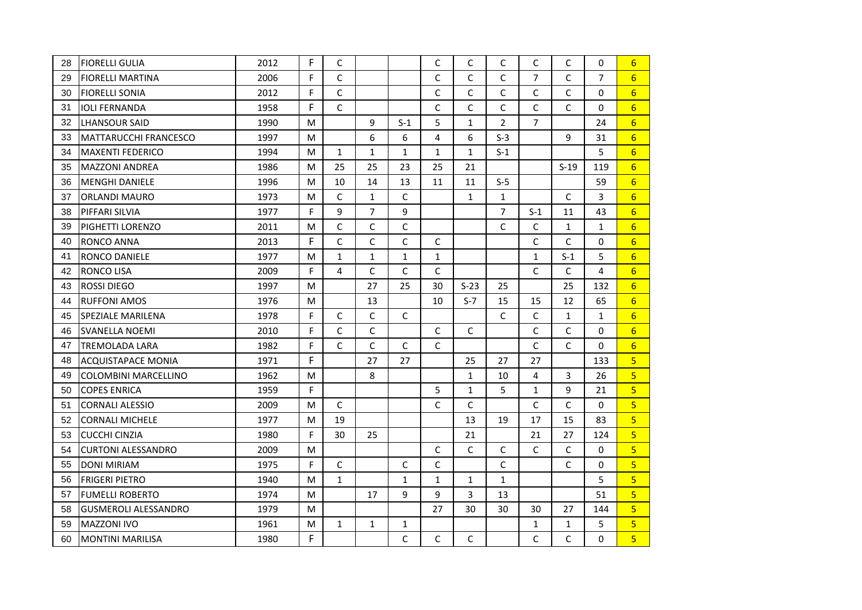| 28 | FIORELLI GULIA              | 2012 | F | C            |                |              | C            | C            | C              | C              | C            | 0              | 6               |
|----|-----------------------------|------|---|--------------|----------------|--------------|--------------|--------------|----------------|----------------|--------------|----------------|-----------------|
| 29 | <b>FIORELLI MARTINA</b>     | 2006 | F | $\mathsf C$  |                |              | $\mathsf{C}$ | $\mathsf{C}$ | $\mathsf C$    | 7              | $\mathsf{C}$ | $\overline{7}$ | $6 \overline{}$ |
| 30 | <b>FIORELLI SONIA</b>       | 2012 | F | $\mathsf{C}$ |                |              | C            | $\mathsf{C}$ | $\mathsf{C}$   | $\mathsf{C}$   | $\mathsf{C}$ | $\Omega$       | $6\overline{6}$ |
| 31 | <b>IOLI FERNANDA</b>        | 1958 | F | $\mathsf{C}$ |                |              | C            | $\mathsf C$  | $\mathsf C$    | C              | $\mathsf{C}$ | 0              | $6 \overline{}$ |
| 32 | LHANSOUR SAID               | 1990 | M |              | 9              | $S-1$        | 5            | $\mathbf{1}$ | $\overline{2}$ | $\overline{7}$ |              | 24             | $6\overline{6}$ |
| 33 | IMATTARUCCHI FRANCESCO      | 1997 | M |              | 6              | 6            | 4            | 6            | $S-3$          |                | 9            | 31             | $6\overline{6}$ |
| 34 | <b>IMAXENTI FEDERICO</b>    | 1994 | M | $\mathbf{1}$ | $\mathbf{1}$   | $\mathbf{1}$ | $\mathbf{1}$ | $\mathbf{1}$ | $S-1$          |                |              | 5              | 6               |
| 35 | <b>MAZZONI ANDREA</b>       | 1986 | M | 25           | 25             | 23           | 25           | 21           |                |                | $S-19$       | 119            | $6\overline{6}$ |
| 36 | <b>MENGHI DANIELE</b>       | 1996 | M | 10           | 14             | 13           | 11           | 11           | $S-5$          |                |              | 59             | $6\overline{6}$ |
| 37 | <b>ORLANDI MAURO</b>        | 1973 | M | $\mathsf C$  | $\mathbf{1}$   | $\mathsf C$  |              | $\mathbf{1}$ | $\mathbf{1}$   |                | $\mathsf{C}$ | 3              | $6\overline{6}$ |
| 38 | PIFFARI SILVIA              | 1977 | F | 9            | $\overline{7}$ | 9            |              |              | $\overline{7}$ | $S-1$          | 11           | 43             | 6               |
| 39 | <b>PIGHETTI LORENZO</b>     | 2011 | M | $\mathsf C$  | C              | $\mathsf C$  |              |              | $\mathsf{C}$   | C              | $\mathbf{1}$ | $\mathbf{1}$   | 6               |
| 40 | <b>RONCO ANNA</b>           | 2013 | F | $\mathsf{C}$ | C              | $\mathsf C$  | C            |              |                | $\mathsf{C}$   | $\mathsf{C}$ | 0              | $6\overline{6}$ |
| 41 | <b>RONCO DANIELE</b>        | 1977 | M | $\mathbf{1}$ | $\mathbf{1}$   | $\mathbf{1}$ | $\mathbf{1}$ |              |                | $\mathbf{1}$   | $S-1$        | 5              | $6\overline{6}$ |
| 42 | <b>RONCO LISA</b>           | 2009 | F | 4            | C              | $\mathsf{C}$ | C            |              |                | $\mathsf{C}$   | $\mathsf{C}$ | 4              | $6\overline{6}$ |
| 43 | <b>ROSSI DIEGO</b>          | 1997 | M |              | 27             | 25           | 30           | $S-23$       | 25             |                | 25           | 132            | $6\overline{6}$ |
| 44 | <b>RUFFONI AMOS</b>         | 1976 | M |              | 13             |              | 10           | $S-7$        | 15             | 15             | 12           | 65             | $6\overline{6}$ |
| 45 | <b>SPEZIALE MARILENA</b>    | 1978 | F | $\mathsf{C}$ | C              | $\mathsf{C}$ |              |              | $\mathsf{C}$   | $\mathsf{C}$   | $\mathbf{1}$ | $\mathbf{1}$   | 6               |
| 46 | <b>SVANELLA NOEMI</b>       | 2010 | F | $\mathsf C$  | C              |              | $\mathsf C$  | $\mathsf C$  |                | $\mathsf C$    | $\mathsf{C}$ | 0              | $6\overline{6}$ |
| 47 | <b>TREMOLADA LARA</b>       | 1982 | F | $\mathsf{C}$ | $\mathsf{C}$   | $\mathsf C$  | $\mathsf{C}$ |              |                | C              | $\mathsf{C}$ | 0              | $6\overline{6}$ |
| 48 | <b>ACQUISTAPACE MONIA</b>   | 1971 | F |              | 27             | 27           |              | 25           | 27             | 27             |              | 133            | $\overline{5}$  |
| 49 | <b>COLOMBINI MARCELLINO</b> | 1962 | M |              | 8              |              |              | $\mathbf 1$  | 10             | 4              | 3            | 26             | 5 <sub>o</sub>  |
| 50 | <b>COPES ENRICA</b>         | 1959 | F |              |                |              | 5            | $\mathbf{1}$ | 5              | $\mathbf{1}$   | 9            | 21             | 5 <sup>1</sup>  |
| 51 | <b>CORNALI ALESSIO</b>      | 2009 | M | С            |                |              | $\mathsf{C}$ | $\mathsf{C}$ |                | C              | C            | 0              | $\overline{5}$  |
| 52 | <b>CORNALI MICHELE</b>      | 1977 | M | 19           |                |              |              | 13           | 19             | 17             | 15           | 83             | $\overline{5}$  |
| 53 | <b>CUCCHI CINZIA</b>        | 1980 | F | 30           | 25             |              |              | 21           |                | 21             | 27           | 124            | 5 <sup>1</sup>  |
| 54 | <b>CURTONI ALESSANDRO</b>   | 2009 | M |              |                |              | $\mathsf C$  | $\mathsf C$  | $\mathsf C$    | $\mathsf{C}$   | $\mathsf{C}$ | 0              | $\overline{5}$  |
| 55 | <b>DONI MIRIAM</b>          | 1975 | F | C            |                | $\mathsf{C}$ | C            |              | $\mathsf{C}$   |                | $\mathsf{C}$ | 0              | $\overline{5}$  |
| 56 | <b>FRIGERI PIETRO</b>       | 1940 | M | $\mathbf{1}$ |                | $\mathbf{1}$ | $\mathbf{1}$ | $\mathbf{1}$ | $\mathbf{1}$   |                |              | 5              | 5 <sup>1</sup>  |
| 57 | <b>FUMELLI ROBERTO</b>      | 1974 | M |              | 17             | 9            | 9            | 3            | 13             |                |              | 51             | $\overline{5}$  |
| 58 | <b>GUSMEROLI ALESSANDRO</b> | 1979 | M |              |                |              | 27           | 30           | 30             | 30             | 27           | 144            | 5 <sup>1</sup>  |
| 59 | <b>MAZZONI IVO</b>          | 1961 | M | $\mathbf{1}$ | $\mathbf{1}$   | $\mathbf{1}$ |              |              |                | $\mathbf{1}$   | $\mathbf{1}$ | 5              | $\overline{5}$  |
| 60 | <b>MONTINI MARILISA</b>     | 1980 | F |              |                | $\mathsf C$  | C            | $\mathsf C$  |                | $\mathsf{C}$   | C            | 0              | $\overline{5}$  |